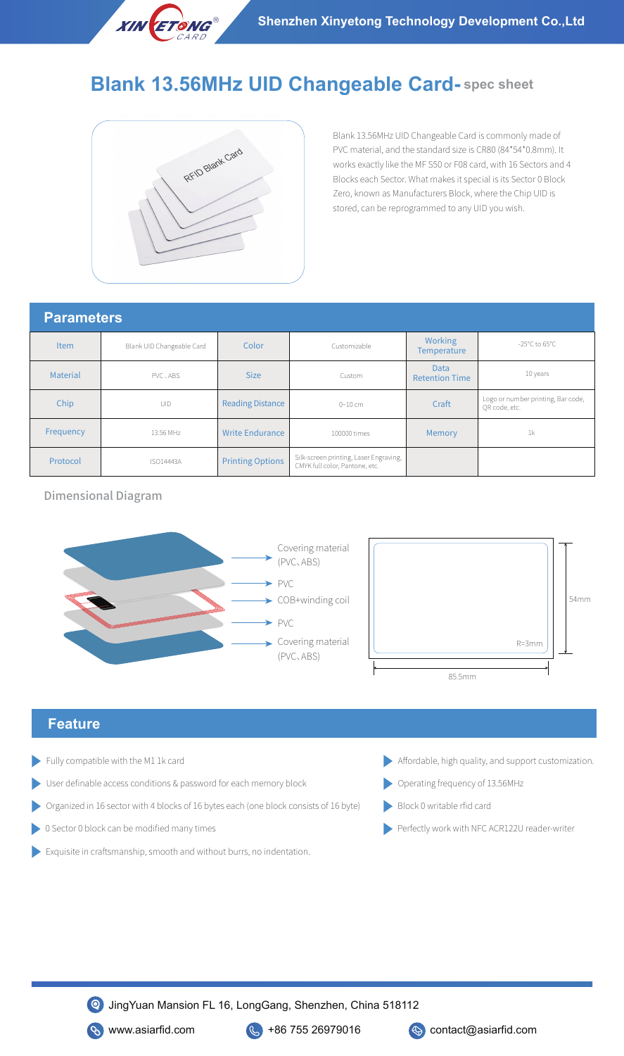

## **Blank 13.56MHz UID Changeable Card- spec sheet**



Blank 13.56MHz UID Changeable Card is commonly made of PVC material, and the standard size is CR80 (84\*54\*0.8mm). It works exactly like the MF S50 or F08 card, with 16 Sectors and 4 Blocks each Sector. What makes it special is its Sector 0 Block Zero, known as Manufacturers Block, where the Chip UID is stored, can be reprogrammed to any UID you wish.

## **Parameters**

| I GIGHTO O      |                           |                         |                                                                          |                                      |                                                     |
|-----------------|---------------------------|-------------------------|--------------------------------------------------------------------------|--------------------------------------|-----------------------------------------------------|
| <b>Item</b>     | Blank UID Changeable Card | Color                   | Customizable                                                             | Working<br><b>Temperature</b>        | -25°C to $65^{\circ}$ C                             |
| <b>Material</b> | PVC . ABS                 | <b>Size</b>             | Custom                                                                   | <b>Data</b><br><b>Retention Time</b> | 10 years                                            |
| Chip            | UID                       | <b>Reading Distance</b> | 0~10~cm                                                                  | Craft                                | Logo or number printing, Bar code,<br>OR code, etc. |
| Frequency       | 13.56 MHz                 | <b>Write Endurance</b>  | 100000 times                                                             | Memory                               | 1 <sub>k</sub>                                      |
| Protocol        | <b>ISO14443A</b>          | <b>Printing Options</b> | Silk-screen printing, Laser Engraving,<br>CMYK full color, Pantone, etc. |                                      |                                                     |

Dimensional Diagram





## **Feature**

- Fully compatible with the M1 1k card
- User definable access conditions & password for each memory block
- Organized in 16 sector with 4 blocks of 16 bytes each (one block consists of 16 byte)
- 0 Sector 0 block can be modified many times
- Exquisite in craftsmanship, smooth and without burrs, no indentation.
- Affordable, high quality, and support customization.
- Operating frequency of 13.56MHz
- Block 0 writable rfid card
- Perfectly work with NFC ACR122U reader-writer



**S** www.asiarfid.com **C** +86 755 26979016 **C** contact@asiarfid.com